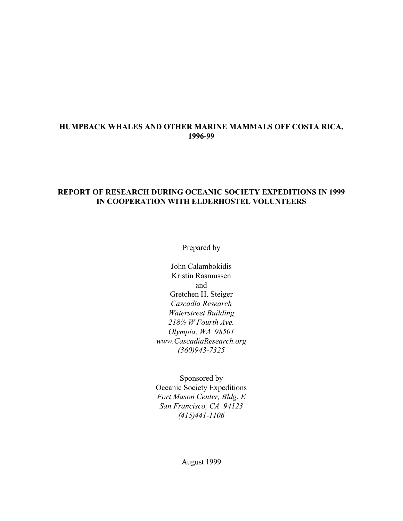# **HUMPBACK WHALES AND OTHER MARINE MAMMALS OFF COSTA RICA, 1996-99**

### **REPORT OF RESEARCH DURING OCEANIC SOCIETY EXPEDITIONS IN 1999 IN COOPERATION WITH ELDERHOSTEL VOLUNTEERS**

Prepared by

John Calambokidis Kristin Rasmussen and Gretchen H. Steiger *Cascadia Research Waterstreet Building 218½ W Fourth Ave. Olympia, WA 98501 www.CascadiaResearch.org (360)943-7325*

Sponsored by Oceanic Society Expeditions *Fort Mason Center, Bldg. E San Francisco, CA 94123 (415)441-1106*

August 1999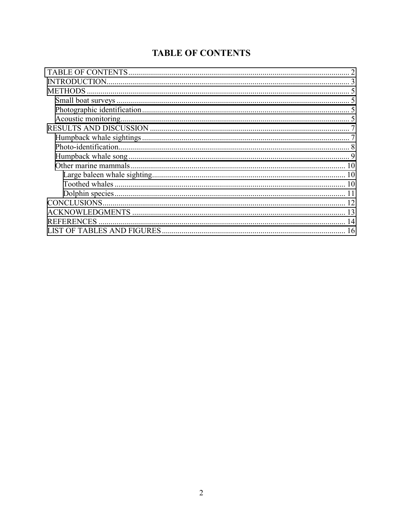# **TABLE OF CONTENTS**

| <b>METHODS</b>    |  |
|-------------------|--|
|                   |  |
|                   |  |
|                   |  |
|                   |  |
|                   |  |
|                   |  |
|                   |  |
| 10                |  |
| 10                |  |
| 10                |  |
|                   |  |
|                   |  |
|                   |  |
| <b>REFERENCES</b> |  |
|                   |  |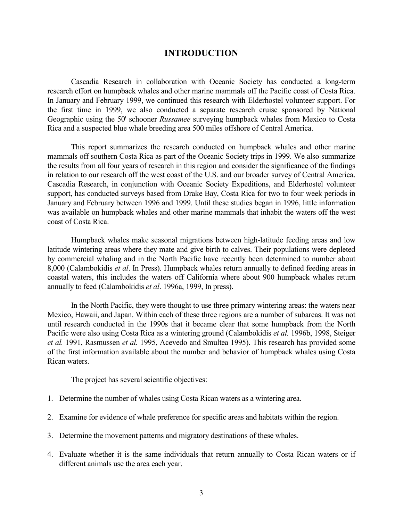# **INTRODUCTION**

<span id="page-2-0"></span>Cascadia Research in collaboration with Oceanic Society has conducted a long-term research effort on humpback whales and other marine mammals off the Pacific coast of Costa Rica. In January and February 1999, we continued this research with Elderhostel volunteer support. For the first time in 1999, we also conducted a separate research cruise sponsored by National Geographic using the 50' schooner *Russamee* surveying humpback whales from Mexico to Costa Rica and a suspected blue whale breeding area 500 miles offshore of Central America.

This report summarizes the research conducted on humpback whales and other marine mammals off southern Costa Rica as part of the Oceanic Society trips in 1999. We also summarize the results from all four years of research in this region and consider the significance of the findings in relation to our research off the west coast of the U.S. and our broader survey of Central America. Cascadia Research, in conjunction with Oceanic Society Expeditions, and Elderhostel volunteer support, has conducted surveys based from Drake Bay, Costa Rica for two to four week periods in January and February between 1996 and 1999. Until these studies began in 1996, little information was available on humpback whales and other marine mammals that inhabit the waters off the west coast of Costa Rica.

Humpback whales make seasonal migrations between high-latitude feeding areas and low latitude wintering areas where they mate and give birth to calves. Their populations were depleted by commercial whaling and in the North Pacific have recently been determined to number about 8,000 (Calambokidis *et al*. In Press). Humpback whales return annually to defined feeding areas in coastal waters, this includes the waters off California where about 900 humpback whales return annually to feed (Calambokidis *et al*. 1996a, 1999, In press).

In the North Pacific, they were thought to use three primary wintering areas: the waters near Mexico, Hawaii, and Japan. Within each of these three regions are a number of subareas. It was not until research conducted in the 1990s that it became clear that some humpback from the North Pacific were also using Costa Rica as a wintering ground (Calambokidis *et al.* 1996b, 1998, Steiger *et al.* 1991, Rasmussen *et al.* 1995, Acevedo and Smultea 1995). This research has provided some of the first information available about the number and behavior of humpback whales using Costa Rican waters.

The project has several scientific objectives:

- 1. Determine the number of whales using Costa Rican waters as a wintering area.
- 2. Examine for evidence of whale preference for specific areas and habitats within the region.
- 3. Determine the movement patterns and migratory destinations of these whales.
- 4. Evaluate whether it is the same individuals that return annually to Costa Rican waters or if different animals use the area each year.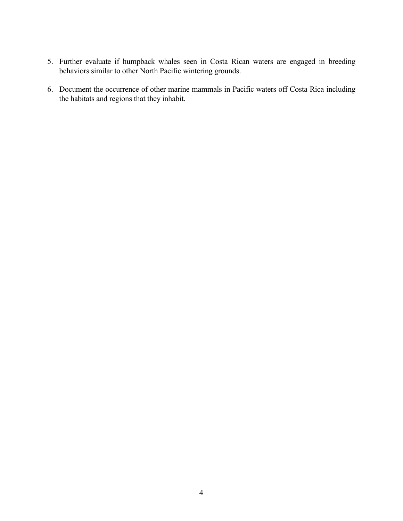- 5. Further evaluate if humpback whales seen in Costa Rican waters are engaged in breeding behaviors similar to other North Pacific wintering grounds.
- 6. Document the occurrence of other marine mammals in Pacific waters off Costa Rica including the habitats and regions that they inhabit.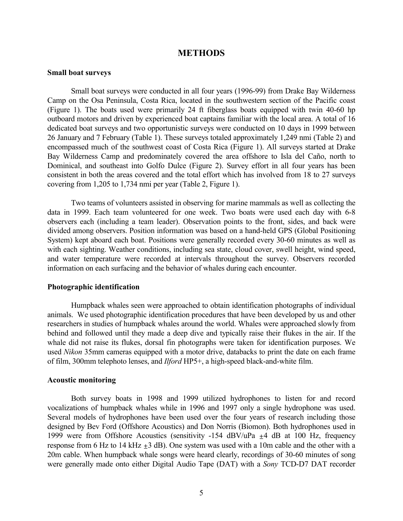### **METHODS**

#### <span id="page-4-0"></span>**Small boat surveys**

Small boat surveys were conducted in all four years (1996-99) from Drake Bay Wilderness Camp on the Osa Peninsula, Costa Rica, located in the southwestern section of the Pacific coast (Figure 1). The boats used were primarily 24 ft fiberglass boats equipped with twin 40-60 hp outboard motors and driven by experienced boat captains familiar with the local area. A total of 16 dedicated boat surveys and two opportunistic surveys were conducted on 10 days in 1999 between 26 January and 7 February (Table 1). These surveys totaled approximately 1,249 nmi (Table 2) and encompassed much of the southwest coast of Costa Rica (Figure 1). All surveys started at Drake Bay Wilderness Camp and predominately covered the area offshore to Isla del Caño, north to Dominical, and southeast into Golfo Dulce (Figure 2). Survey effort in all four years has been consistent in both the areas covered and the total effort which has involved from 18 to 27 surveys covering from 1,205 to 1,734 nmi per year (Table 2, Figure 1).

Two teams of volunteers assisted in observing for marine mammals as well as collecting the data in 1999. Each team volunteered for one week. Two boats were used each day with 6-8 observers each (including a team leader). Observation points to the front, sides, and back were divided among observers. Position information was based on a hand-held GPS (Global Positioning System) kept aboard each boat. Positions were generally recorded every 30-60 minutes as well as with each sighting. Weather conditions, including sea state, cloud cover, swell height, wind speed, and water temperature were recorded at intervals throughout the survey. Observers recorded information on each surfacing and the behavior of whales during each encounter.

#### **Photographic identification**

Humpback whales seen were approached to obtain identification photographs of individual animals. We used photographic identification procedures that have been developed by us and other researchers in studies of humpback whales around the world. Whales were approached slowly from behind and followed until they made a deep dive and typically raise their flukes in the air. If the whale did not raise its flukes, dorsal fin photographs were taken for identification purposes. We used *Nikon* 35mm cameras equipped with a motor drive, databacks to print the date on each frame of film, 300mm telephoto lenses, and *Ilford* HP5+, a high-speed black-and-white film.

#### **Acoustic monitoring**

Both survey boats in 1998 and 1999 utilized hydrophones to listen for and record vocalizations of humpback whales while in 1996 and 1997 only a single hydrophone was used. Several models of hydrophones have been used over the four years of research including those designed by Bev Ford (Offshore Acoustics) and Don Norris (Biomon). Both hydrophones used in 1999 were from Offshore Acoustics (sensitivity -154 dBV/uPa  $\pm$ 4 dB at 100 Hz, frequency response from 6 Hz to 14 kHz  $\pm$ 3 dB). One system was used with a 10m cable and the other with a 20m cable. When humpback whale songs were heard clearly, recordings of 30-60 minutes of song were generally made onto either Digital Audio Tape (DAT) with a *Sony* TCD-D7 DAT recorder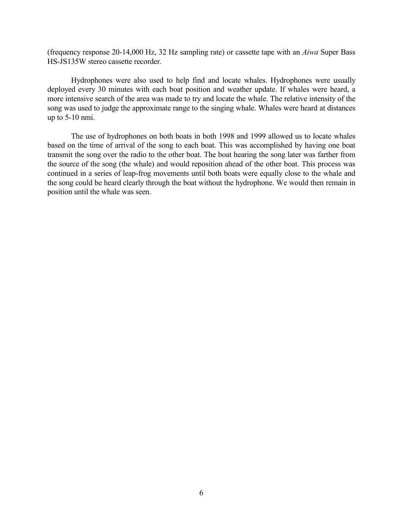(frequency response 20-14,000 Hz, 32 Hz sampling rate) or cassette tape with an *Aiwa* Super Bass HS-JS135W stereo cassette recorder.

Hydrophones were also used to help find and locate whales. Hydrophones were usually deployed every 30 minutes with each boat position and weather update. If whales were heard, a more intensive search of the area was made to try and locate the whale. The relative intensity of the song was used to judge the approximate range to the singing whale. Whales were heard at distances up to 5-10 nmi.

The use of hydrophones on both boats in both 1998 and 1999 allowed us to locate whales based on the time of arrival of the song to each boat. This was accomplished by having one boat transmit the song over the radio to the other boat. The boat hearing the song later was farther from the source of the song (the whale) and would reposition ahead of the other boat. This process was continued in a series of leap-frog movements until both boats were equally close to the whale and the song could be heard clearly through the boat without the hydrophone. We would then remain in position until the whale was seen.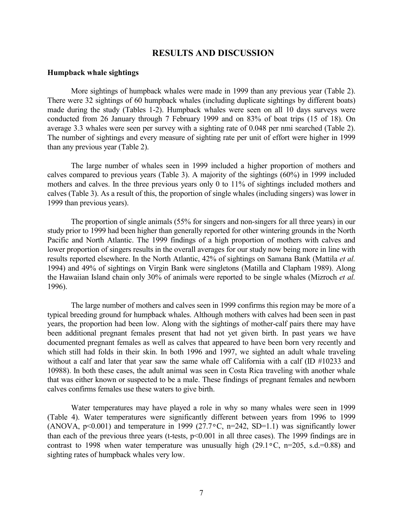# **RESULTS AND DISCUSSION**

#### <span id="page-6-0"></span>**Humpback whale sightings**

More sightings of humpback whales were made in 1999 than any previous year (Table 2). There were 32 sightings of 60 humpback whales (including duplicate sightings by different boats) made during the study (Tables 1-2). Humpback whales were seen on all 10 days surveys were conducted from 26 January through 7 February 1999 and on 83% of boat trips (15 of 18). On average 3.3 whales were seen per survey with a sighting rate of 0.048 per nmi searched (Table 2). The number of sightings and every measure of sighting rate per unit of effort were higher in 1999 than any previous year (Table 2).

The large number of whales seen in 1999 included a higher proportion of mothers and calves compared to previous years (Table 3). A majority of the sightings (60%) in 1999 included mothers and calves. In the three previous years only 0 to 11% of sightings included mothers and calves (Table 3). As a result of this, the proportion of single whales (including singers) was lower in 1999 than previous years).

The proportion of single animals (55% for singers and non-singers for all three years) in our study prior to 1999 had been higher than generally reported for other wintering grounds in the North Pacific and North Atlantic. The 1999 findings of a high proportion of mothers with calves and lower proportion of singers results in the overall averages for our study now being more in line with results reported elsewhere. In the North Atlantic, 42% of sightings on Samana Bank (Mattila *et al.* 1994) and 49% of sightings on Virgin Bank were singletons (Matilla and Clapham 1989). Along the Hawaiian Island chain only 30% of animals were reported to be single whales (Mizroch *et al.* 1996).

The large number of mothers and calves seen in 1999 confirms this region may be more of a typical breeding ground for humpback whales. Although mothers with calves had been seen in past years, the proportion had been low. Along with the sightings of mother-calf pairs there may have been additional pregnant females present that had not yet given birth. In past years we have documented pregnant females as well as calves that appeared to have been born very recently and which still had folds in their skin. In both 1996 and 1997, we sighted an adult whale traveling without a calf and later that year saw the same whale off California with a calf (ID #10233 and 10988). In both these cases, the adult animal was seen in Costa Rica traveling with another whale that was either known or suspected to be a male. These findings of pregnant females and newborn calves confirms females use these waters to give birth.

Water temperatures may have played a role in why so many whales were seen in 1999 (Table 4). Water temperatures were significantly different between years from 1996 to 1999 (ANOVA,  $p<0.001$ ) and temperature in 1999 (27.7 $\degree$ C, n=242, SD=1.1) was significantly lower than each of the previous three years (t-tests, p<0.001 in all three cases). The 1999 findings are in contrast to 1998 when water temperature was unusually high (29.1 $\degree$ C, n=205, s.d.=0.88) and sighting rates of humpback whales very low.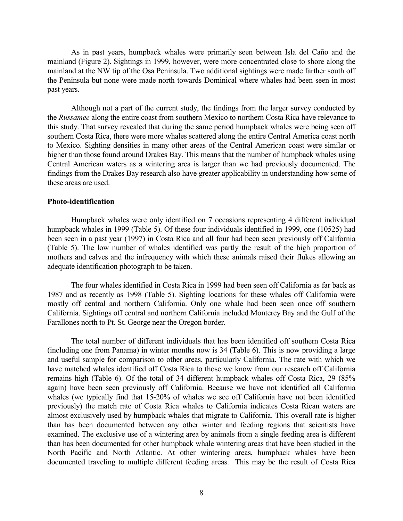<span id="page-7-0"></span>As in past years, humpback whales were primarily seen between Isla del Caño and the mainland (Figure 2). Sightings in 1999, however, were more concentrated close to shore along the mainland at the NW tip of the Osa Peninsula. Two additional sightings were made farther south off the Peninsula but none were made north towards Dominical where whales had been seen in most past years.

Although not a part of the current study, the findings from the larger survey conducted by the *Russamee* along the entire coast from southern Mexico to northern Costa Rica have relevance to this study. That survey revealed that during the same period humpback whales were being seen off southern Costa Rica, there were more whales scattered along the entire Central America coast north to Mexico. Sighting densities in many other areas of the Central American coast were similar or higher than those found around Drakes Bay. This means that the number of humpback whales using Central American waters as a wintering area is larger than we had previously documented. The findings from the Drakes Bay research also have greater applicability in understanding how some of these areas are used.

#### **Photo-identification**

Humpback whales were only identified on 7 occasions representing 4 different individual humpback whales in 1999 (Table 5). Of these four individuals identified in 1999, one (10525) had been seen in a past year (1997) in Costa Rica and all four had been seen previously off California (Table 5). The low number of whales identified was partly the result of the high proportion of mothers and calves and the infrequency with which these animals raised their flukes allowing an adequate identification photograph to be taken.

The four whales identified in Costa Rica in 1999 had been seen off California as far back as 1987 and as recently as 1998 (Table 5). Sighting locations for these whales off California were mostly off central and northern California. Only one whale had been seen once off southern California. Sightings off central and northern California included Monterey Bay and the Gulf of the Farallones north to Pt. St. George near the Oregon border.

The total number of different individuals that has been identified off southern Costa Rica (including one from Panama) in winter months now is 34 (Table 6). This is now providing a large and useful sample for comparison to other areas, particularly California. The rate with which we have matched whales identified off Costa Rica to those we know from our research off California remains high (Table 6). Of the total of 34 different humpback whales off Costa Rica, 29 (85% again) have been seen previously off California. Because we have not identified all California whales (we typically find that 15-20% of whales we see off California have not been identified previously) the match rate of Costa Rica whales to California indicates Costa Rican waters are almost exclusively used by humpback whales that migrate to California. This overall rate is higher than has been documented between any other winter and feeding regions that scientists have examined. The exclusive use of a wintering area by animals from a single feeding area is different than has been documented for other humpback whale wintering areas that have been studied in the North Pacific and North Atlantic. At other wintering areas, humpback whales have been documented traveling to multiple different feeding areas. This may be the result of Costa Rica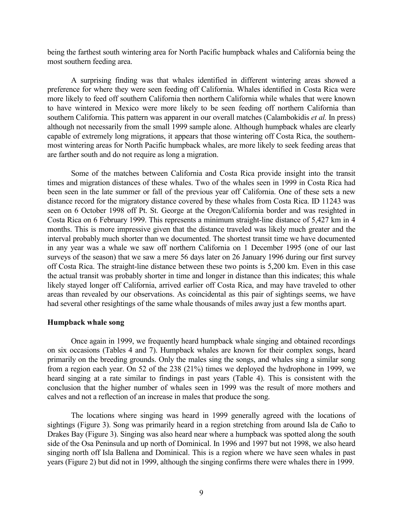<span id="page-8-0"></span>being the farthest south wintering area for North Pacific humpback whales and California being the most southern feeding area.

A surprising finding was that whales identified in different wintering areas showed a preference for where they were seen feeding off California. Whales identified in Costa Rica were more likely to feed off southern California then northern California while whales that were known to have wintered in Mexico were more likely to be seen feeding off northern California than southern California. This pattern was apparent in our overall matches (Calambokidis *et al.* In press) although not necessarily from the small 1999 sample alone. Although humpback whales are clearly capable of extremely long migrations, it appears that those wintering off Costa Rica, the southernmost wintering areas for North Pacific humpback whales, are more likely to seek feeding areas that are farther south and do not require as long a migration.

Some of the matches between California and Costa Rica provide insight into the transit times and migration distances of these whales. Two of the whales seen in 1999 in Costa Rica had been seen in the late summer or fall of the previous year off California. One of these sets a new distance record for the migratory distance covered by these whales from Costa Rica. ID 11243 was seen on 6 October 1998 off Pt. St. George at the Oregon/California border and was resighted in Costa Rica on 6 February 1999. This represents a minimum straight-line distance of 5,427 km in 4 months. This is more impressive given that the distance traveled was likely much greater and the interval probably much shorter than we documented. The shortest transit time we have documented in any year was a whale we saw off northern California on 1 December 1995 (one of our last surveys of the season) that we saw a mere 56 days later on 26 January 1996 during our first survey off Costa Rica. The straight-line distance between these two points is 5,200 km. Even in this case the actual transit was probably shorter in time and longer in distance than this indicates; this whale likely stayed longer off California, arrived earlier off Costa Rica, and may have traveled to other areas than revealed by our observations. As coincidental as this pair of sightings seems, we have had several other resightings of the same whale thousands of miles away just a few months apart.

#### **Humpback whale song**

Once again in 1999, we frequently heard humpback whale singing and obtained recordings on six occasions (Tables 4 and 7). Humpback whales are known for their complex songs, heard primarily on the breeding grounds. Only the males sing the songs, and whales sing a similar song from a region each year. On 52 of the 238 (21%) times we deployed the hydrophone in 1999, we heard singing at a rate similar to findings in past years (Table 4). This is consistent with the conclusion that the higher number of whales seen in 1999 was the result of more mothers and calves and not a reflection of an increase in males that produce the song.

The locations where singing was heard in 1999 generally agreed with the locations of sightings (Figure 3). Song was primarily heard in a region stretching from around Isla de Caño to Drakes Bay (Figure 3). Singing was also heard near where a humpback was spotted along the south side of the Osa Peninsula and up north of Dominical. In 1996 and 1997 but not 1998, we also heard singing north off Isla Ballena and Dominical. This is a region where we have seen whales in past years (Figure 2) but did not in 1999, although the singing confirms there were whales there in 1999.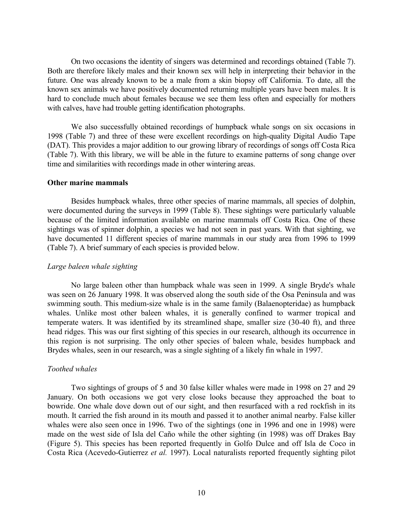<span id="page-9-0"></span>On two occasions the identity of singers was determined and recordings obtained (Table 7). Both are therefore likely males and their known sex will help in interpreting their behavior in the future. One was already known to be a male from a skin biopsy off California. To date, all the known sex animals we have positively documented returning multiple years have been males. It is hard to conclude much about females because we see them less often and especially for mothers with calves, have had trouble getting identification photographs.

We also successfully obtained recordings of humpback whale songs on six occasions in 1998 (Table 7) and three of these were excellent recordings on high-quality Digital Audio Tape (DAT). This provides a major addition to our growing library of recordings of songs off Costa Rica (Table 7). With this library, we will be able in the future to examine patterns of song change over time and similarities with recordings made in other wintering areas.

#### **Other marine mammals**

Besides humpback whales, three other species of marine mammals, all species of dolphin, were documented during the surveys in 1999 (Table 8). These sightings were particularly valuable because of the limited information available on marine mammals off Costa Rica. One of these sightings was of spinner dolphin, a species we had not seen in past years. With that sighting, we have documented 11 different species of marine mammals in our study area from 1996 to 1999 (Table 7). A brief summary of each species is provided below.

#### *Large baleen whale sighting*

No large baleen other than humpback whale was seen in 1999. A single Bryde's whale was seen on 26 January 1998. It was observed along the south side of the Osa Peninsula and was swimming south. This medium-size whale is in the same family (Balaenopteridae) as humpback whales. Unlike most other baleen whales, it is generally confined to warmer tropical and temperate waters. It was identified by its streamlined shape, smaller size (30-40 ft), and three head ridges. This was our first sighting of this species in our research, although its occurrence in this region is not surprising. The only other species of baleen whale, besides humpback and Brydes whales, seen in our research, was a single sighting of a likely fin whale in 1997.

### *Toothed whales*

Two sightings of groups of 5 and 30 false killer whales were made in 1998 on 27 and 29 January. On both occasions we got very close looks because they approached the boat to bowride. One whale dove down out of our sight, and then resurfaced with a red rockfish in its mouth. It carried the fish around in its mouth and passed it to another animal nearby. False killer whales were also seen once in 1996. Two of the sightings (one in 1996 and one in 1998) were made on the west side of Isla del Caño while the other sighting (in 1998) was off Drakes Bay (Figure 5). This species has been reported frequently in Golfo Dulce and off Isla de Coco in Costa Rica (Acevedo-Gutierrez *et al.* 1997). Local naturalists reported frequently sighting pilot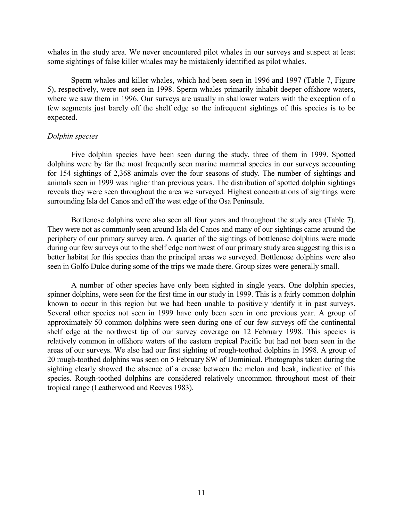<span id="page-10-0"></span>whales in the study area. We never encountered pilot whales in our surveys and suspect at least some sightings of false killer whales may be mistakenly identified as pilot whales.

Sperm whales and killer whales, which had been seen in 1996 and 1997 (Table 7, Figure 5), respectively, were not seen in 1998. Sperm whales primarily inhabit deeper offshore waters, where we saw them in 1996. Our surveys are usually in shallower waters with the exception of a few segments just barely off the shelf edge so the infrequent sightings of this species is to be expected.

#### *Dolphin species*

Five dolphin species have been seen during the study, three of them in 1999. Spotted dolphins were by far the most frequently seen marine mammal species in our surveys accounting for 154 sightings of 2,368 animals over the four seasons of study. The number of sightings and animals seen in 1999 was higher than previous years. The distribution of spotted dolphin sightings reveals they were seen throughout the area we surveyed. Highest concentrations of sightings were surrounding Isla del Canos and off the west edge of the Osa Peninsula.

Bottlenose dolphins were also seen all four years and throughout the study area (Table 7). They were not as commonly seen around Isla del Canos and many of our sightings came around the periphery of our primary survey area. A quarter of the sightings of bottlenose dolphins were made during our few surveys out to the shelf edge northwest of our primary study area suggesting this is a better habitat for this species than the principal areas we surveyed. Bottlenose dolphins were also seen in Golfo Dulce during some of the trips we made there. Group sizes were generally small.

A number of other species have only been sighted in single years. One dolphin species, spinner dolphins, were seen for the first time in our study in 1999. This is a fairly common dolphin known to occur in this region but we had been unable to positively identify it in past surveys. Several other species not seen in 1999 have only been seen in one previous year. A group of approximately 50 common dolphins were seen during one of our few surveys off the continental shelf edge at the northwest tip of our survey coverage on 12 February 1998. This species is relatively common in offshore waters of the eastern tropical Pacific but had not been seen in the areas of our surveys. We also had our first sighting of rough-toothed dolphins in 1998. A group of 20 rough-toothed dolphins was seen on 5 February SW of Dominical. Photographs taken during the sighting clearly showed the absence of a crease between the melon and beak, indicative of this species. Rough-toothed dolphins are considered relatively uncommon throughout most of their tropical range (Leatherwood and Reeves 1983).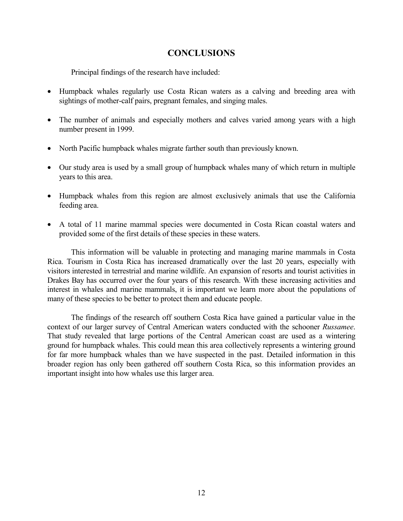# **CONCLUSIONS**

<span id="page-11-0"></span>Principal findings of the research have included:

- Humpback whales regularly use Costa Rican waters as a calving and breeding area with sightings of mother-calf pairs, pregnant females, and singing males.
- The number of animals and especially mothers and calves varied among years with a high number present in 1999.
- North Pacific humpback whales migrate farther south than previously known.
- Our study area is used by a small group of humpback whales many of which return in multiple years to this area.
- Humpback whales from this region are almost exclusively animals that use the California feeding area.
- A total of 11 marine mammal species were documented in Costa Rican coastal waters and provided some of the first details of these species in these waters.

This information will be valuable in protecting and managing marine mammals in Costa Rica. Tourism in Costa Rica has increased dramatically over the last 20 years, especially with visitors interested in terrestrial and marine wildlife. An expansion of resorts and tourist activities in Drakes Bay has occurred over the four years of this research. With these increasing activities and interest in whales and marine mammals, it is important we learn more about the populations of many of these species to be better to protect them and educate people.

The findings of the research off southern Costa Rica have gained a particular value in the context of our larger survey of Central American waters conducted with the schooner *Russamee*. That study revealed that large portions of the Central American coast are used as a wintering ground for humpback whales. This could mean this area collectively represents a wintering ground for far more humpback whales than we have suspected in the past. Detailed information in this broader region has only been gathered off southern Costa Rica, so this information provides an important insight into how whales use this larger area.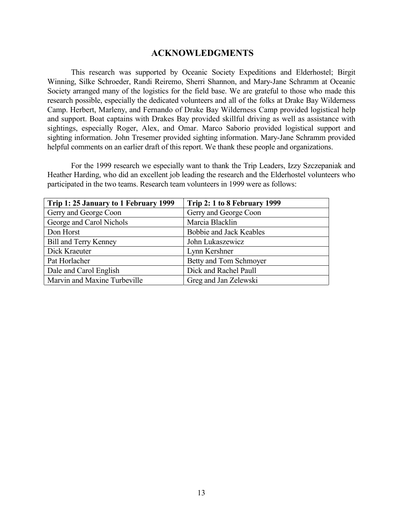# **ACKNOWLEDGMENTS**

<span id="page-12-0"></span>This research was supported by Oceanic Society Expeditions and Elderhostel; Birgit Winning, Silke Schroeder, Randi Reiremo, Sherri Shannon, and Mary-Jane Schramm at Oceanic Society arranged many of the logistics for the field base. We are grateful to those who made this research possible, especially the dedicated volunteers and all of the folks at Drake Bay Wilderness Camp. Herbert, Marleny, and Fernando of Drake Bay Wilderness Camp provided logistical help and support. Boat captains with Drakes Bay provided skillful driving as well as assistance with sightings, especially Roger, Alex, and Omar. Marco Saborio provided logistical support and sighting information. John Tresemer provided sighting information. Mary-Jane Schramm provided helpful comments on an earlier draft of this report. We thank these people and organizations.

For the 1999 research we especially want to thank the Trip Leaders, Izzy Szczepaniak and Heather Harding, who did an excellent job leading the research and the Elderhostel volunteers who participated in the two teams. Research team volunteers in 1999 were as follows:

| Trip 1: 25 January to 1 February 1999 | Trip 2: 1 to 8 February 1999 |
|---------------------------------------|------------------------------|
| Gerry and George Coon                 | Gerry and George Coon        |
| George and Carol Nichols              | Marcia Blacklin              |
| Don Horst                             | Bobbie and Jack Keables      |
| <b>Bill and Terry Kenney</b>          | John Lukaszewicz             |
| Dick Kraeuter                         | Lynn Kershner                |
| Pat Horlacher                         | Betty and Tom Schmoyer       |
| Dale and Carol English                | Dick and Rachel Paull        |
| Marvin and Maxine Turbeville          | Greg and Jan Zelewski        |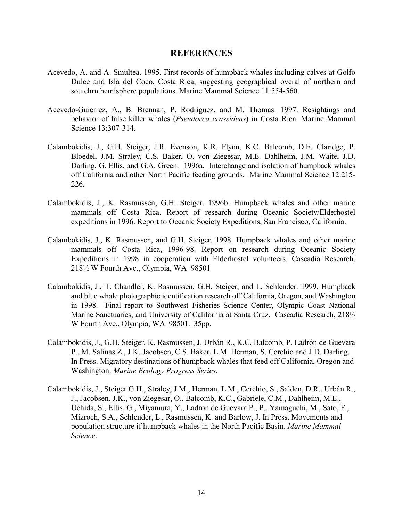### **REFERENCES**

- <span id="page-13-0"></span>Acevedo, A. and A. Smultea. 1995. First records of humpback whales including calves at Golfo Dulce and Isla del Coco, Costa Rica, suggesting geographical overal of northern and soutehrn hemisphere populations. Marine Mammal Science 11:554-560.
- Acevedo-Guierrez, A., B. Brennan, P. Rodriguez, and M. Thomas. 1997. Resightings and behavior of false killer whales (*Pseudorca crassidens*) in Costa Rica. Marine Mammal Science 13:307-314.
- Calambokidis, J., G.H. Steiger, J.R. Evenson, K.R. Flynn, K.C. Balcomb, D.E. Claridge, P. Bloedel, J.M. Straley, C.S. Baker, O. von Ziegesar, M.E. Dahlheim, J.M. Waite, J.D. Darling, G. Ellis, and G.A. Green. 1996a. Interchange and isolation of humpback whales off California and other North Pacific feeding grounds. Marine Mammal Science 12:215- 226.
- Calambokidis, J., K. Rasmussen, G.H. Steiger. 1996b. Humpback whales and other marine mammals off Costa Rica. Report of research during Oceanic Society/Elderhostel expeditions in 1996. Report to Oceanic Society Expeditions, San Francisco, California.
- Calambokidis, J., K. Rasmussen, and G.H. Steiger. 1998. Humpback whales and other marine mammals off Costa Rica, 1996-98. Report on research during Oceanic Society Expeditions in 1998 in cooperation with Elderhostel volunteers. Cascadia Research, 218½ W Fourth Ave., Olympia, WA 98501
- Calambokidis, J., T. Chandler, K. Rasmussen, G.H. Steiger, and L. Schlender. 1999. Humpback and blue whale photographic identification research off California, Oregon, and Washington in 1998. Final report to Southwest Fisheries Science Center, Olympic Coast National Marine Sanctuaries, and University of California at Santa Cruz. Cascadia Research, 2181/2 W Fourth Ave., Olympia, WA 98501. 35pp.
- Calambokidis, J., G.H. Steiger, K. Rasmussen, J. Urbán R., K.C. Balcomb, P. Ladrón de Guevara P., M. Salinas Z., J.K. Jacobsen, C.S. Baker, L.M. Herman, S. Cerchio and J.D. Darling. In Press. Migratory destinations of humpback whales that feed off California, Oregon and Washington. *Marine Ecology Progress Series*.
- Calambokidis, J., Steiger G.H., Straley, J.M., Herman, L.M., Cerchio, S., Salden, D.R., Urbán R., J., Jacobsen, J.K., von Ziegesar, O., Balcomb, K.C., Gabriele, C.M., Dahlheim, M.E., Uchida, S., Ellis, G., Miyamura, Y., Ladron de Guevara P., P., Yamaguchi, M., Sato, F., Mizroch, S.A., Schlender, L., Rasmussen, K. and Barlow, J. In Press. Movements and population structure if humpback whales in the North Pacific Basin. *Marine Mammal Science*.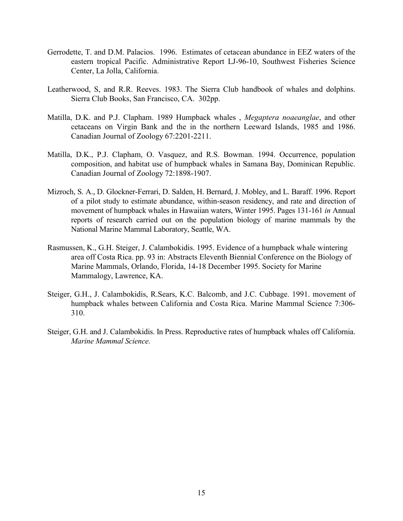- Gerrodette, T. and D.M. Palacios. 1996. Estimates of cetacean abundance in EEZ waters of the eastern tropical Pacific. Administrative Report LJ-96-10, Southwest Fisheries Science Center, La Jolla, California.
- Leatherwood, S, and R.R. Reeves. 1983. The Sierra Club handbook of whales and dolphins. Sierra Club Books, San Francisco, CA. 302pp.
- Matilla, D.K. and P.J. Clapham. 1989 Humpback whales , *Megaptera noaeanglae*, and other cetaceans on Virgin Bank and the in the northern Leeward Islands, 1985 and 1986. Canadian Journal of Zoology 67:2201-2211.
- Matilla, D.K., P.J. Clapham, O. Vasquez, and R.S. Bowman. 1994. Occurrence, population composition, and habitat use of humpback whales in Samana Bay, Dominican Republic. Canadian Journal of Zoology 72:1898-1907.
- Mizroch, S. A., D. Glockner-Ferrari, D. Salden, H. Bernard, J. Mobley, and L. Baraff. 1996. Report of a pilot study to estimate abundance, within-season residency, and rate and direction of movement of humpback whales in Hawaiian waters, Winter 1995. Pages 131-161 *in* Annual reports of research carried out on the population biology of marine mammals by the National Marine Mammal Laboratory, Seattle, WA.
- Rasmussen, K., G.H. Steiger, J. Calambokidis. 1995. Evidence of a humpback whale wintering area off Costa Rica. pp. 93 in: Abstracts Eleventh Biennial Conference on the Biology of Marine Mammals, Orlando, Florida, 14-18 December 1995. Society for Marine Mammalogy, Lawrence, KA.
- Steiger, G.H., J. Calambokidis, R.Sears, K.C. Balcomb, and J.C. Cubbage. 1991. movement of humpback whales between California and Costa Rica. Marine Mammal Science 7:306- 310.
- Steiger, G.H. and J. Calambokidis. In Press. Reproductive rates of humpback whales off California. *Marine Mammal Science.*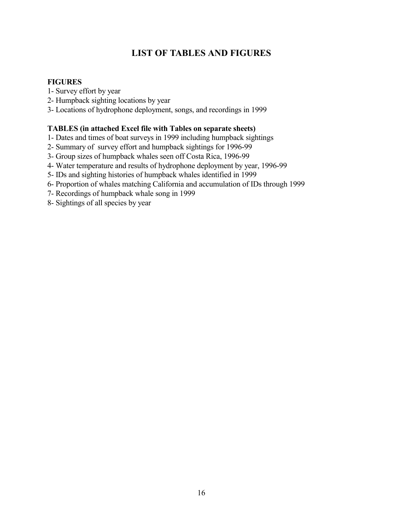# **LIST OF TABLES AND FIGURES**

# <span id="page-15-0"></span>**FIGURES**

- 1- Survey effort by year
- 2- Humpback sighting locations by year
- 3- Locations of hydrophone deployment, songs, and recordings in 1999

# **TABLES (in attached Excel file with Tables on separate sheets)**

- 1- Dates and times of boat surveys in 1999 including humpback sightings
- 2- Summary of survey effort and humpback sightings for 1996-99
- 3- Group sizes of humpback whales seen off Costa Rica, 1996-99
- 4- Water temperature and results of hydrophone deployment by year, 1996-99
- 5- IDs and sighting histories of humpback whales identified in 1999
- 6- Proportion of whales matching California and accumulation of IDs through 1999
- 7- Recordings of humpback whale song in 1999
- 8- Sightings of all species by year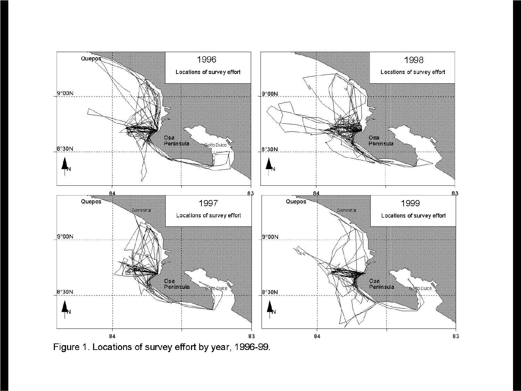

Figure 1. Locations of survey effort by year, 1996-99.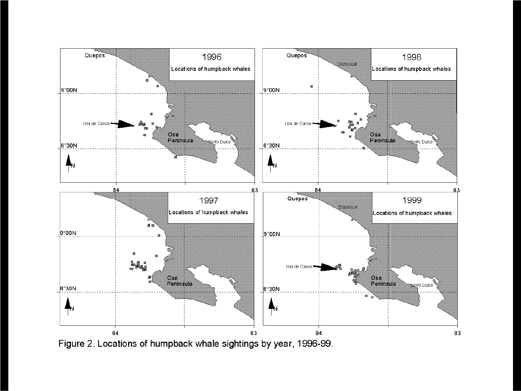

Figure 2. Locations of humpback whale sightings by year, 1996-99.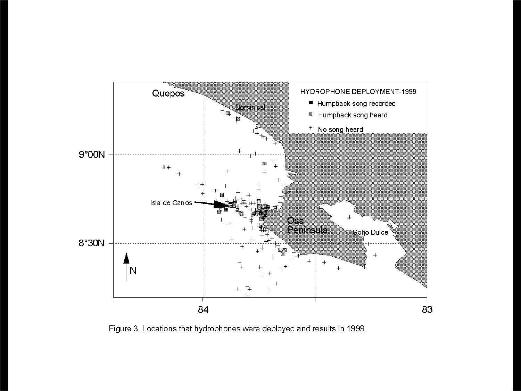

Figure 3. Locations that hydrophones were deployed and results in 1999.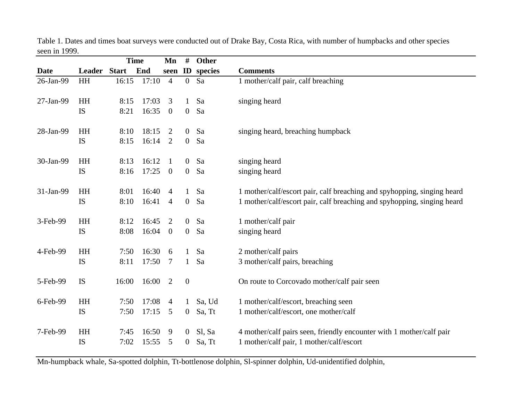|             |              |       | <b>Time</b> | Mn                      | #                | Other   |                                                                         |
|-------------|--------------|-------|-------------|-------------------------|------------------|---------|-------------------------------------------------------------------------|
| <b>Date</b> | Leader Start |       | End         | seen                    | $\mathbf{ID}$    | species | <b>Comments</b>                                                         |
| 26-Jan-99   | HH           | 16:15 | 17:10       | $\overline{4}$          | $\boldsymbol{0}$ | Sa      | 1 mother/calf pair, calf breaching                                      |
| 27-Jan-99   | HH           | 8:15  | 17:03       | 3                       | $\mathbf{1}$     | Sa      | singing heard                                                           |
|             | IS           | 8:21  | 16:35       | $\overline{0}$          | $\boldsymbol{0}$ | Sa      |                                                                         |
| 28-Jan-99   | HH           | 8:10  | 18:15       | 2                       | $\overline{0}$   | Sa      | singing heard, breaching humpback                                       |
|             | IS           | 8:15  | 16:14       | 2                       | $\boldsymbol{0}$ | Sa      |                                                                         |
| 30-Jan-99   | HH           | 8:13  | 16:12       | -1                      | $\mathbf{0}$     | Sa      | singing heard                                                           |
|             | IS           | 8:16  | 17:25       | $\overline{\mathbf{0}}$ | $\overline{0}$   | Sa      | singing heard                                                           |
| 31-Jan-99   | HH           | 8:01  | 16:40       | $\overline{4}$          | 1                | Sa      | 1 mother/calf/escort pair, calf breaching and spyhopping, singing heard |
|             | IS           | 8:10  | 16:41       | $\overline{4}$          | $\overline{0}$   | Sa      | 1 mother/calf/escort pair, calf breaching and spyhopping, singing heard |
| 3-Feb-99    | HH           | 8:12  | 16:45       | 2                       | $\mathbf{0}$     | Sa      | 1 mother/calf pair                                                      |
|             | <b>IS</b>    | 8:08  | 16:04       | $\mathbf{0}$            | $\overline{0}$   | Sa      | singing heard                                                           |
| 4-Feb-99    | HH           | 7:50  | 16:30       | 6                       |                  | Sa      | 2 mother/calf pairs                                                     |
|             | IS           | 8:11  | 17:50       | $\tau$                  | 1                | Sa      | 3 mother/calf pairs, breaching                                          |
| 5-Feb-99    | IS           | 16:00 | 16:00       | 2                       | $\boldsymbol{0}$ |         | On route to Corcovado mother/calf pair seen                             |
| 6-Feb-99    | HH           | 7:50  | 17:08       | $\overline{4}$          | 1                | Sa, Ud  | 1 mother/calf/escort, breaching seen                                    |
|             | IS           | 7:50  | 17:15       | 5                       | $\overline{0}$   | Sa, Tt  | 1 mother/calf/escort, one mother/calf                                   |
| 7-Feb-99    | HH           | 7:45  | 16:50       | 9                       | $\overline{0}$   | Sl, Sa  | 4 mother/calf pairs seen, friendly encounter with 1 mother/calf pair    |
|             | <b>IS</b>    | 7:02  | 15:55       | 5                       | $\overline{0}$   | Sa, Tt  | 1 mother/calf pair, 1 mother/calf/escort                                |

Table 1. Dates and times boat surveys were conducted out of Drake Bay, Costa Rica, with number of humpbacks and other species seen in 1999.

Mn-humpback whale, Sa-spotted dolphin, Tt-bottlenose dolphin, Sl-spinner dolphin, Ud-unidentified dolphin,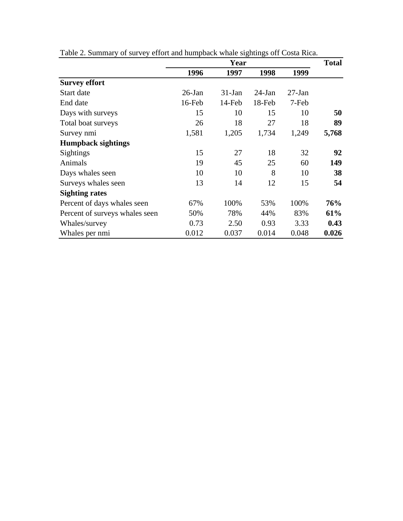|                                |           | Year     |           |          |       |  |  |  |
|--------------------------------|-----------|----------|-----------|----------|-------|--|--|--|
|                                | 1996      | 1997     | 1998      | 1999     |       |  |  |  |
| <b>Survey effort</b>           |           |          |           |          |       |  |  |  |
| Start date                     | $26$ -Jan | $31-Jan$ | $24$ -Jan | $27-Ian$ |       |  |  |  |
| End date                       | 16-Feb    | 14-Feb   | 18-Feb    | 7-Feb    |       |  |  |  |
| Days with surveys              | 15        | 10       | 15        | 10       | 50    |  |  |  |
| Total boat surveys             | 26        | 18       | 27        | 18       | 89    |  |  |  |
| Survey nmi                     | 1,581     | 1,205    | 1,734     | 1,249    | 5,768 |  |  |  |
| <b>Humpback sightings</b>      |           |          |           |          |       |  |  |  |
| <b>Sightings</b>               | 15        | 27       | 18        | 32       | 92    |  |  |  |
| Animals                        | 19        | 45       | 25        | 60       | 149   |  |  |  |
| Days whales seen               | 10        | 10       | 8         | 10       | 38    |  |  |  |
| Surveys whales seen            | 13        | 14       | 12        | 15       | 54    |  |  |  |
| <b>Sighting rates</b>          |           |          |           |          |       |  |  |  |
| Percent of days whales seen    | 67%       | 100%     | 53%       | 100%     | 76%   |  |  |  |
| Percent of surveys whales seen | 50%       | 78%      | 44%       | 83%      | 61%   |  |  |  |
| Whales/survey                  | 0.73      | 2.50     | 0.93      | 3.33     | 0.43  |  |  |  |
| Whales per nmi                 | 0.012     | 0.037    | 0.014     | 0.048    | 0.026 |  |  |  |

Table 2. Summary of survey effort and humpback whale sightings off Costa Rica.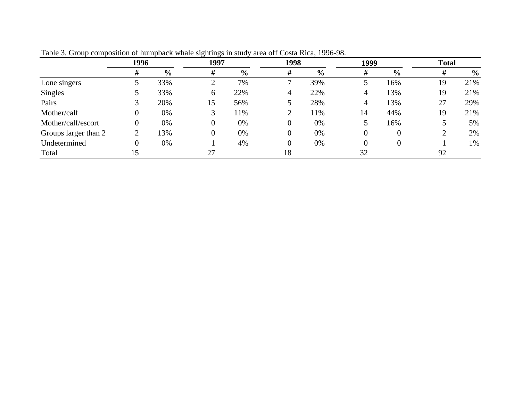|                      | 1996           |                | 1997 |               | 1998     |                | 1999     |               | <b>Total</b> |               |
|----------------------|----------------|----------------|------|---------------|----------|----------------|----------|---------------|--------------|---------------|
|                      | #              | $\frac{6}{10}$ | #    | $\frac{6}{6}$ | #        | $\frac{6}{10}$ | ₩        | $\frac{0}{0}$ | #            | $\frac{0}{0}$ |
| Lone singers         |                | 33%            |      | 7%            |          | 39%            |          | 16%           | 19           | 21%           |
| <b>Singles</b>       |                | 33%            | 6    | 22%           | 4        | 22%            |          | 13%           | 19           | 21%           |
| Pairs                |                | 20%            | 15   | 56%           |          | 28%            | 4        | 13%           | 27           | 29%           |
| Mother/calf          | 0              | 0%             |      | 11%           |          | 1%             | 14       | 44%           | 19           | 21%           |
| Mother/calf/escort   | 0              | 0%             |      | 0%            | 0        | 0%             |          | 16%           |              | 5%            |
| Groups larger than 2 | 2              | 13%            |      | 0%            | $\theta$ | 0%             | $\theta$ |               |              | 2%            |
| Undetermined         | $\overline{0}$ | 0%             |      | 4%            | 0        | 0%             | $\Omega$ |               |              | 1%            |
| Total                | 15             |                | 27   |               | 18       |                | 32       |               | 92           |               |

Table 3. Group composition of humpback whale sightings in study area off Costa Rica, 1996-98.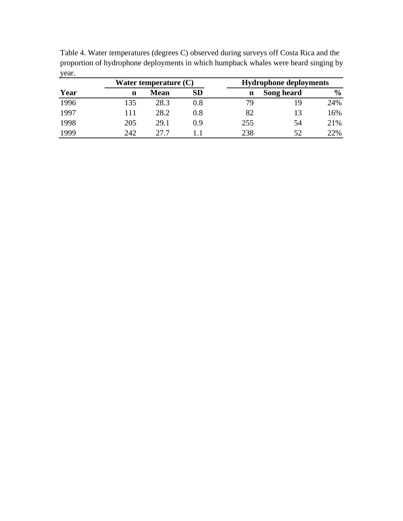Table 4. Water temperatures (degrees C) observed during surveys off Costa Rica and the proportion of hydrophone deployments in which humpback whales were heard singing by year.

|      |     | Water temperature (C) |     | <b>Hydrophone deployments</b> |            |               |  |  |
|------|-----|-----------------------|-----|-------------------------------|------------|---------------|--|--|
| Year | n   | Mean                  | SD  | n                             | Song heard | $\frac{6}{6}$ |  |  |
| 1996 | 135 | 28.3                  | 0.8 | 79                            | 19         | 24%           |  |  |
| 1997 | 11  | 28.2                  | 0.8 | 82                            | 13         | 16%           |  |  |
| 1998 | 205 | 29.1                  | 0.9 | 255                           | 54         | 21%           |  |  |
| 1999 | 242 | 27 7                  |     | 238                           | 52         | 22%           |  |  |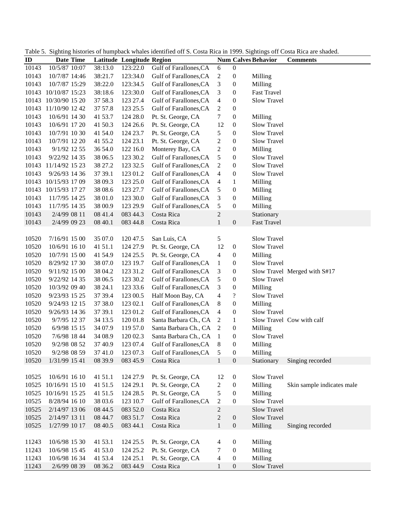|       |                |         |                           | Table 5. Digiting instances of humpback whates ruentified off B. Costa Kica in 1999. Digitings off Costa Kica are shaded. |                          |                  |                            |                              |
|-------|----------------|---------|---------------------------|---------------------------------------------------------------------------------------------------------------------------|--------------------------|------------------|----------------------------|------------------------------|
| ID    | Date Time      |         | Latitude Longitude Region |                                                                                                                           |                          |                  | <b>Num Calves Behavior</b> | <b>Comments</b>              |
| 10143 | 10/5/87 10:07  | 38:13.0 | 123:22.0                  | Gulf of Farallones, CA                                                                                                    | $\boldsymbol{6}$         | $\boldsymbol{0}$ |                            |                              |
| 10143 | 10/7/87 14:46  | 38:21.7 | 123:34.0                  | Gulf of Farallones, CA                                                                                                    | $\mathbf{2}$             | $\boldsymbol{0}$ | Milling                    |                              |
| 10143 | 10/7/87 15:29  | 38:22.0 | 123:34.5                  | Gulf of Farallones, CA                                                                                                    | $\mathfrak{Z}$           | $\boldsymbol{0}$ | Milling                    |                              |
| 10143 | 10/10/87 15:23 | 38:18.6 | 123:30.0                  | Gulf of Farallones, CA                                                                                                    | $\mathfrak{Z}$           | $\boldsymbol{0}$ | <b>Fast Travel</b>         |                              |
| 10143 | 10/30/90 15 20 | 37 58.3 | 123 27.4                  | Gulf of Farallones, CA                                                                                                    | $\overline{4}$           | $\boldsymbol{0}$ | Slow Travel                |                              |
| 10143 | 11/10/90 12 42 | 37 57.8 | 123 25.5                  | Gulf of Farallones, CA                                                                                                    | $\boldsymbol{2}$         | $\boldsymbol{0}$ |                            |                              |
| 10143 | 10/6/91 14 30  | 41 53.7 | 124 28.0                  | Pt. St. George, CA                                                                                                        | $\tau$                   | $\boldsymbol{0}$ | Milling                    |                              |
| 10143 | 10/6/91 17 20  | 41 50.3 | 124 26.6                  | Pt. St. George, CA                                                                                                        | 12                       | $\boldsymbol{0}$ | Slow Travel                |                              |
| 10143 | 10/7/91 10 30  | 41 54.0 | 124 23.7                  | Pt. St. George, CA                                                                                                        | 5                        | $\boldsymbol{0}$ | Slow Travel                |                              |
| 10143 | 10/7/91 12 20  | 41 55.2 | 124 23.1                  | Pt. St. George, CA                                                                                                        | $\mathbf{2}$             | $\boldsymbol{0}$ | Slow Travel                |                              |
| 10143 | 9/1/92 12 55   | 36 54.0 | 122 16.0                  | Monterey Bay, CA                                                                                                          | $\mathbf{2}$             | $\boldsymbol{0}$ | Milling                    |                              |
| 10143 | 9/22/92 14 35  | 38 06.5 | 123 30.2                  | Gulf of Farallones, CA                                                                                                    | 5                        | $\boldsymbol{0}$ | Slow Travel                |                              |
| 10143 | 11/14/92 15 23 | 38 27.2 | 123 32.5                  | Gulf of Farallones, CA                                                                                                    | $\sqrt{2}$               | $\boldsymbol{0}$ | Slow Travel                |                              |
| 10143 | 9/26/93 14 36  | 37 39.1 | 123 01.2                  | Gulf of Farallones, CA                                                                                                    | $\overline{4}$           | $\boldsymbol{0}$ | Slow Travel                |                              |
| 10143 | 10/15/93 17 09 | 38 09.3 | 123 25.0                  | Gulf of Farallones, CA                                                                                                    | $\overline{4}$           | $\mathbf{1}$     | Milling                    |                              |
| 10143 | 10/15/93 17 27 | 38 08.6 | 123 27.7                  | Gulf of Farallones, CA                                                                                                    | 5                        | $\boldsymbol{0}$ | Milling                    |                              |
| 10143 | 11/7/95 14 25  | 38 01.0 | 123 30.0                  | Gulf of Farallones, CA                                                                                                    | $\mathfrak{Z}$           | $\boldsymbol{0}$ | Milling                    |                              |
| 10143 | 11/7/95 14 35  | 38 00.9 | 123 29.9                  | Gulf of Farallones, CA                                                                                                    | $\sqrt{5}$               | $\boldsymbol{0}$ | Milling                    |                              |
| 10143 | 2/4/99 08 11   | 08 41.4 | 083 44.3                  | Costa Rica                                                                                                                | $\sqrt{2}$               |                  | Stationary                 |                              |
| 10143 | 2/4/99 09 23   | 08 40.1 | 083 44.8                  | Costa Rica                                                                                                                | $\mathbf{1}$             | $\mathbf{0}$     | <b>Fast Travel</b>         |                              |
|       |                |         |                           |                                                                                                                           |                          |                  |                            |                              |
| 10520 | 7/16/91 15 00  | 35 07.0 | 120 47.5                  | San Luis, CA                                                                                                              | 5                        |                  | Slow Travel                |                              |
| 10520 | 10/6/91 16 10  | 41 51.1 | 124 27.9                  | Pt. St. George, CA                                                                                                        | 12                       | $\boldsymbol{0}$ | Slow Travel                |                              |
| 10520 | 10/7/91 15 00  | 41 54.9 | 124 25.5                  | Pt. St. George, CA                                                                                                        | 4                        | $\boldsymbol{0}$ | Milling                    |                              |
| 10520 |                |         |                           | Gulf of Farallones, CA                                                                                                    | $\mathbf{1}$             | $\boldsymbol{0}$ | Slow Travel                |                              |
|       | 8/29/92 17 30  | 38 07.0 | 123 19.7                  |                                                                                                                           |                          |                  |                            |                              |
| 10520 | 9/11/92 15 00  | 38 04.2 | 123 31.2                  | Gulf of Farallones, CA                                                                                                    | 3                        | $\boldsymbol{0}$ |                            | Slow Travel Merged with S#17 |
| 10520 | 9/22/92 14 35  | 38 06.5 | 123 30.2                  | Gulf of Farallones, CA                                                                                                    | 5                        | $\boldsymbol{0}$ | Slow Travel                |                              |
| 10520 | 10/3/92 09 40  | 38 24.1 | 123 33.6                  | Gulf of Farallones, CA                                                                                                    | 3                        | $\boldsymbol{0}$ | Milling                    |                              |
| 10520 | 9/23/93 15 25  | 37 39.4 | 123 00.5                  | Half Moon Bay, CA                                                                                                         | $\overline{4}$           | $\boldsymbol{?}$ | Slow Travel                |                              |
| 10520 | 9/24/93 12 15  | 37 38.0 | 123 02.1                  | Gulf of Farallones, CA                                                                                                    | 8                        | $\boldsymbol{0}$ | Milling                    |                              |
| 10520 | 9/26/93 14 36  | 37 39.1 | 123 01.2                  | Gulf of Farallones, CA                                                                                                    | $\overline{4}$           | $\boldsymbol{0}$ | <b>Slow Travel</b>         |                              |
| 10520 | 9/7/95 12 37   | 34 13.5 | 120 01.8                  | Santa Barbara Ch., CA                                                                                                     | $\overline{2}$           | $\mathbf{1}$     |                            | Slow Travel Cow with calf    |
| 10520 | 6/9/98 15 15   | 34 07.9 | 119 57.0                  | Santa Barbara Ch., CA                                                                                                     | 2                        | $\boldsymbol{0}$ | Milling                    |                              |
| 10520 | 7/6/98 18 44   | 34 08.9 | 120 02.3                  | Santa Barbara Ch., CA 1                                                                                                   |                          | $\boldsymbol{0}$ | Slow Travel                |                              |
| 10520 | 9/2/98 08 52   | 37 40.9 | 123 07.4                  | Gulf of Farallones, CA                                                                                                    | 8                        | $\boldsymbol{0}$ | Milling                    |                              |
| 10520 | 9/2/98 08 59   | 37 41.0 | 123 07.3                  | Gulf of Farallones, CA                                                                                                    | 5                        | $\boldsymbol{0}$ | Milling                    |                              |
| 10520 | 1/31/99 15 41  | 08 39.9 | 083 45.9                  | Costa Rica                                                                                                                | $\mathbf{1}$             | $\boldsymbol{0}$ | Stationary                 | Singing recorded             |
|       |                |         |                           |                                                                                                                           |                          |                  |                            |                              |
| 10525 | 10/6/91 16 10  | 41 51.1 | 124 27.9                  | Pt. St. George, CA                                                                                                        | 12                       | $\boldsymbol{0}$ | Slow Travel                |                              |
| 10525 | 10/16/91 15 10 | 41 51.5 | 124 29.1                  | Pt. St. George, CA                                                                                                        | 2                        | $\boldsymbol{0}$ | Milling                    | Skin sample indicates male   |
| 10525 | 10/16/91 15 25 | 41 51.5 | 124 28.5                  | Pt. St. George, CA                                                                                                        | 5                        | $\boldsymbol{0}$ | Milling                    |                              |
| 10525 | 8/28/94 16 10  | 38 03.6 | 123 10.7                  | Gulf of Farallones, CA                                                                                                    | $\mathbf{2}$             | $\boldsymbol{0}$ | Slow Travel                |                              |
| 10525 | 2/14/97 13 06  | 08 44.5 | 083 52.0                  | Costa Rica                                                                                                                | $\boldsymbol{2}$         |                  | Slow Travel                |                              |
| 10525 | 2/14/97 13 11  | 08 44.7 | 083 51.7                  | Costa Rica                                                                                                                | $\boldsymbol{2}$         | $\boldsymbol{0}$ | Slow Travel                |                              |
| 10525 | 1/27/99 10 17  | 08 40.5 | 083 44.1                  | Costa Rica                                                                                                                | $\mathbf{1}$             | $\boldsymbol{0}$ | Milling                    | Singing recorded             |
|       |                |         |                           |                                                                                                                           |                          |                  |                            |                              |
| 11243 | 10/6/98 15 30  | 41 53.1 | 124 25.5                  | Pt. St. George, CA                                                                                                        | 4                        | $\boldsymbol{0}$ | Milling                    |                              |
| 11243 | 10/6/98 15 45  | 41 53.0 | 124 25.2                  | Pt. St. George, CA                                                                                                        | 7                        | $\boldsymbol{0}$ | Milling                    |                              |
| 11243 | 10/6/98 16 34  | 41 53.4 | 124 25.1                  | Pt. St. George, CA                                                                                                        | $\overline{\mathcal{A}}$ | $\boldsymbol{0}$ | Milling                    |                              |
| 11243 | 2/6/99 08 39   | 08 36.2 | 083 44.9                  | Costa Rica                                                                                                                | $\mathbf{1}$             | $\boldsymbol{0}$ | Slow Travel                |                              |
|       |                |         |                           |                                                                                                                           |                          |                  |                            |                              |

Table 5. Sighting histories of humpback whales identified off S. Costa Rica in 1999. Sightings off Costa Rica are shaded.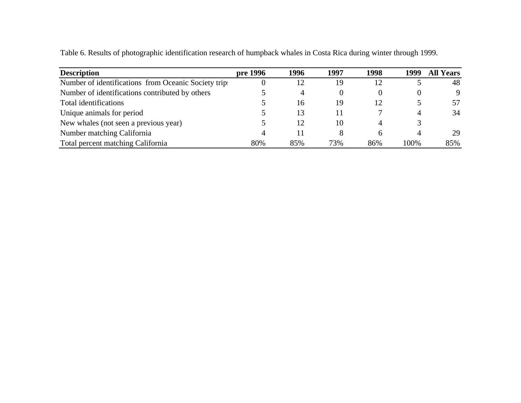| <b>Description</b>                                  | pre 1996 | 1996 | 1997     | 1998         | 1999 | <b>All Years</b> |
|-----------------------------------------------------|----------|------|----------|--------------|------|------------------|
| Number of identifications from Oceanic Society trip |          | 12   | 19       | 12           |      | 48               |
| Number of identifications contributed by others     |          |      | $\theta$ | $_{0}$       |      | 9                |
| Total identifications                               |          | 16   | 19       | 12           |      | 57               |
| Unique animals for period                           |          | 13   | 11       |              |      | 34               |
| New whales (not seen a previous year)               |          | 12   | 10       | 4            |      |                  |
| Number matching California                          |          |      | 8        | <sub>6</sub> |      | 29               |
| Total percent matching California                   | 80%      | 85%  | 73%      | 86%          | 100% | 85%              |

Table 6. Results of photographic identification research of humpback whales in Costa Rica during winter through 1999.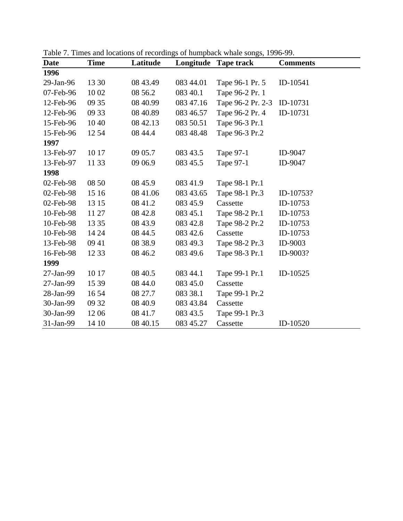| <b>Date</b> | <b>Time</b> | Latitude | Longitude | <b>Tape track</b> | <b>Comments</b> |
|-------------|-------------|----------|-----------|-------------------|-----------------|
| 1996        |             |          |           |                   |                 |
| 29-Jan-96   | 13 30       | 08 43.49 | 083 44.01 | Tape 96-1 Pr. 5   | ID-10541        |
| 07-Feb-96   | 10 02       | 08 56.2  | 083 40.1  | Tape 96-2 Pr. 1   |                 |
| 12-Feb-96   | 09 35       | 08 40.99 | 083 47.16 | Tape 96-2 Pr. 2-3 | ID-10731        |
| 12-Feb-96   | 09 33       | 08 40.89 | 083 46.57 | Tape 96-2 Pr. 4   | ID-10731        |
| 15-Feb-96   | 10 40       | 08 42.13 | 083 50.51 | Tape 96-3 Pr.1    |                 |
| 15-Feb-96   | 12 54       | 08 44.4  | 083 48.48 | Tape 96-3 Pr.2    |                 |
| 1997        |             |          |           |                   |                 |
| 13-Feb-97   | 10 17       | 09 05.7  | 083 43.5  | Tape 97-1         | ID-9047         |
| 13-Feb-97   | 11 33       | 09 06.9  | 083 45.5  | Tape 97-1         | ID-9047         |
| 1998        |             |          |           |                   |                 |
| 02-Feb-98   | 08 50       | 08 45.9  | 083 41.9  | Tape 98-1 Pr.1    |                 |
| 02-Feb-98   | 15 16       | 08 41.06 | 083 43.65 | Tape 98-1 Pr.3    | ID-10753?       |
| 02-Feb-98   | 13 15       | 08 41.2  | 083 45.9  | Cassette          | ID-10753        |
| 10-Feb-98   | 11 27       | 08 42.8  | 083 45.1  | Tape 98-2 Pr.1    | ID-10753        |
| 10-Feb-98   | 13 35       | 08 43.9  | 083 42.8  | Tape 98-2 Pr.2    | ID-10753        |
| 10-Feb-98   | 14 24       | 08 44.5  | 083 42.6  | Cassette          | ID-10753        |
| 13-Feb-98   | 09 41       | 08 38.9  | 083 49.3  | Tape 98-2 Pr.3    | ID-9003         |
| 16-Feb-98   | 12 33       | 08 46.2  | 083 49.6  | Tape 98-3 Pr.1    | ID-9003?        |
| 1999        |             |          |           |                   |                 |
| 27-Jan-99   | 10 17       | 08 40.5  | 083 44.1  | Tape 99-1 Pr.1    | ID-10525        |
| 27-Jan-99   | 15 39       | 08 44.0  | 083 45.0  | Cassette          |                 |
| 28-Jan-99   | 16 54       | 08 27.7  | 083 38.1  | Tape 99-1 Pr.2    |                 |
| 30-Jan-99   | 09 32       | 08 40.9  | 083 43.84 | Cassette          |                 |
| 30-Jan-99   | 1206        | 08 41.7  | 083 43.5  | Tape 99-1 Pr.3    |                 |
| 31-Jan-99   | 14 10       | 08 40.15 | 083 45.27 | Cassette          | ID-10520        |

Table 7. Times and locations of recordings of humpback whale songs, 1996-99.